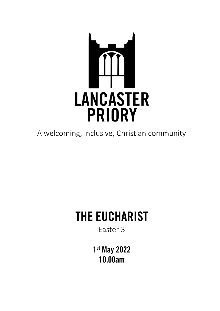

# A welcoming, inclusive, Christian community

# **THE EUCHARIST**

Easter 3

1st May 2022 10.00am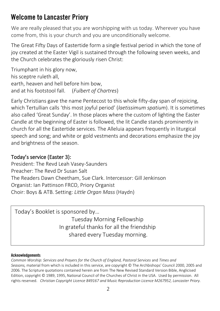## **Welcome to Lancaster Priory**

We are really pleased that you are worshipping with us today. Wherever you have come from, this is your church and you are unconditionally welcome.

The Great Fifty Days of Eastertide form a single festival period in which the tone of joy created at the Easter Vigil is sustained through the following seven weeks, and the Church celebrates the gloriously risen Christ:

Triumphant in his glory now, his sceptre ruleth all, earth, heaven and hell before him bow, and at his footstool fall. (*Fulbert of Chartres*)

Early Christians gave the name Pentecost to this whole fifty-day span of rejoicing, which Tertullian calls 'this most joyful period' (*laetissimum spatium*). It is sometimes also called 'Great Sunday'. In those places where the custom of lighting the Easter Candle at the beginning of Easter is followed, the lit Candle stands prominently in church for all the Eastertide services. The Alleluia appears frequently in liturgical speech and song; and white or gold vestments and decorations emphasize the joy and brightness of the season.

#### Today's service (Easter 3):

President: The Revd Leah Vasey-Saunders Preacher: The Revd Dr Susan Salt The Readers Dawn Cheetham, Sue Clark. Intercessor: Gill Jenkinson Organist: Ian Pattinson FRCO, Priory Organist Choir: Boys & ATB. Setting: *Little Organ Mass* (Haydn)

Today's Booklet is sponsored by… Tuesday Morning Fellowship In grateful thanks for all the friendship shared every Tuesday morning.

#### **Acknowledgements**

*Common Worship: Services and Prayers for the Church of England, Pastoral Services* and *Times and Seasons,* material from which is included in this service, are copyright © The Archbishops' Council 2000, 2005 and 2006. The Scripture quotations contained herein are from The New Revised Standard Version Bible, Anglicised Edition, copyright © 1989, 1995, National Council of the Churches of Christ in the USA. Used by permission. All rights reserved. *Christian Copyright Licence 849167 and Music Reproduction Licence M267952, Lancaster Priory.*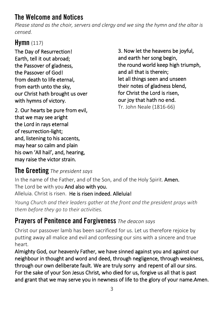## The Welcome and Notices

*Please stand as the choir, servers and clergy and we sing the hymn and the altar is censed.*

## **Hymn**  $(117)$

The Day of Resurrection! Earth, tell it out abroad; the Passover of gladness, the Passover of God! from death to life eternal, from earth unto the sky, our Christ hath brought us over with hymns of victory.

2. Our hearts be pure from evil, that we may see aright the Lord in rays eternal of resurrection-light; and, listening to his accents, may hear so calm and plain his own 'All hail', and, hearing, may raise the victor strain.

3. Now let the heavens be joyful, and earth her song begin, the round world keep high triumph, and all that is therein; let all things seen and unseen their notes of gladness blend, for Christ the Lord is risen, our joy that hath no end. Tr. John Neale (1816-66)

## **The Greeting** The president says

In the name of the Father, and of the Son, and of the Holy Spirit. Amen. The Lord be with you **And also with you.** Alleluia. Christ is risen. He is risen indeed. Alleluia!

*Young Church and their leaders gather at the front and the president prays with them before they go to their activities.*

## **Prayers of Penitence and Forgiveness** The deacon says

Christ our passover lamb has been sacrificed for us. Let us therefore rejoice by putting away all malice and evil and confessing our sins with a sincere and true heart.

Almighty God, our heavenly Father, we have sinned against you and against our neighbour in thought and word and deed, through negligence, through weakness, through our own deliberate fault. We are truly sorry and repent of all our sins. For the sake of your Son Jesus Christ, who died for us, forgive us all that is past and grant that we may serve you in newness of life to the glory of your name.Amen.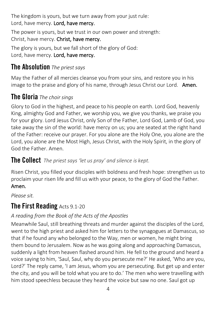The kingdom is yours, but we turn away from your just rule: Lord, have mercy. Lord, have mercy.

The power is yours, but we trust in our own power and strength: Christ, have mercy. Christ, have mercy.

The glory is yours, but we fall short of the glory of God: Lord, have mercy. Lord, have mercy.

# **The Absolution** The priest says

May the Father of all mercies cleanse you from your sins, and restore you in his image to the praise and glory of his name, through Jesus Christ our Lord. **Amen.** 

## **The Gloria** The choir sings

Glory to God in the highest, and peace to his people on earth. Lord God, heavenly King, almighty God and Father, we worship you, we give you thanks, we praise you for your glory. Lord Jesus Christ, only Son of the Father, Lord God, Lamb of God, you take away the sin of the world: have mercy on us; you are seated at the right hand of the Father: receive our prayer. For you alone are the Holy One, you alone are the Lord, you alone are the Most High, Jesus Christ, with the Holy Spirit, in the glory of God the Father. Amen.

#### **The Collect** The priest says 'let us pray' and silence is kept.

Risen Christ, you filled your disciples with boldness and fresh hope: strengthen us to proclaim your risen life and fill us with your peace, to the glory of God the Father. Amen.

*Please sit.*

## The First Reading  $Acts$  9.1-20

# *A reading from the Book of the Acts of the Apostles*

Meanwhile Saul, still breathing threats and murder against the disciples of the Lord, went to the high priest and asked him for letters to the synagogues at Damascus, so that if he found any who belonged to the Way, men or women, he might bring them bound to Jerusalem. Now as he was going along and approaching Damascus, suddenly a light from heaven flashed around him. He fell to the ground and heard a voice saying to him, 'Saul, Saul, why do you persecute me?' He asked, 'Who are you, Lord?' The reply came, 'I am Jesus, whom you are persecuting. But get up and enter the city, and you will be told what you are to do.' The men who were travelling with him stood speechless because they heard the voice but saw no one. Saul got up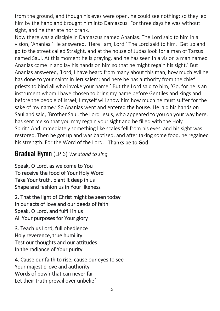from the ground, and though his eyes were open, he could see nothing; so they led him by the hand and brought him into Damascus. For three days he was without sight, and neither ate nor drank.

Now there was a disciple in Damascus named Ananias. The Lord said to him in a vision, 'Ananias.' He answered, 'Here I am, Lord.' The Lord said to him, 'Get up and go to the street called Straight, and at the house of Judas look for a man of Tarsus named Saul. At this moment he is praying, and he has seen in a vision a man named Ananias come in and lay his hands on him so that he might regain his sight.' But Ananias answered, 'Lord, I have heard from many about this man, how much evil he has done to your saints in Jerusalem; and here he has authority from the chief priests to bind all who invoke your name.' But the Lord said to him, 'Go, for he is an instrument whom I have chosen to bring my name before Gentiles and kings and before the people of Israel; I myself will show him how much he must suffer for the sake of my name.' So Ananias went and entered the house. He laid his hands on Saul and said, 'Brother Saul, the Lord Jesus, who appeared to you on your way here, has sent me so that you may regain your sight and be filled with the Holy Spirit.' And immediately something like scales fell from his eyes, and his sight was restored. Then he got up and was baptized, and after taking some food, he regained his strength. For the Word of the Lord. Thanks be to God

#### **Gradual Hymn** (LP 6) *We stand to sing*

Speak, O Lord, as we come to You To receive the food of Your Holy Word Take Your truth, plant it deep in us Shape and fashion us in Your likeness

2. That the light of Christ might be seen today In our acts of love and our deeds of faith Speak, O Lord, and fulfill in us All Your purposes for Your glory

3. Teach us Lord, full obedience Holy reverence, true humility Test our thoughts and our attitudes In the radiance of Your purity

4. Cause our faith to rise, cause our eyes to see Your majestic love and authority Words of pow'r that can never fail Let their truth prevail over unbelief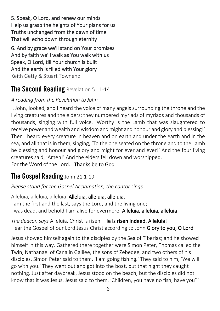5. Speak, O Lord, and renew our minds Help us grasp the heights of Your plans for us Truths unchanged from the dawn of time That will echo down through eternity

6. And by grace we'll stand on Your promises And by faith we'll walk as You walk with us Speak, O Lord, till Your church is built And the earth is filled with Your glory

Keith Getty & Stuart Townend

## **The Second Reading Revelation 5.11-14**

#### *A reading from the Revelation to John*

I, John, looked, and I heard the voice of many angels surrounding the throne and the living creatures and the elders; they numbered myriads of myriads and thousands of thousands, singing with full voice, 'Worthy is the Lamb that was slaughtered to receive power and wealth and wisdom and might and honour and glory and blessing!' Then I heard every creature in heaven and on earth and under the earth and in the sea, and all that is in them, singing, 'To the one seated on the throne and to the Lamb be blessing and honour and glory and might for ever and ever!' And the four living creatures said, 'Amen!' And the elders fell down and worshipped.

For the Word of the Lord. Thanks be to God

# The Gospel Reading John 21.1-19

*Please stand for the Gospel Acclamation, the cantor sings*

Alleluia, alleluia, alleluia Alleluia, alleluia, alleluia. I am the first and the last, says the Lord, and the living one; I was dead, and behold I am alive for evermore. Alleluia, alleluia, alleluia

*The deacon says* Alleluia. Christ is risen. He is risen indeed. Alleluia! Hear the Gospel of our Lord Jesus Christ according to John Glory to you, O Lord

Jesus showed himself again to the disciples by the Sea of Tiberias; and he showed himself in this way. Gathered there together were Simon Peter, Thomas called the Twin, Nathanael of Cana in Galilee, the sons of Zebedee, and two others of his disciples. Simon Peter said to them, 'I am going fishing.' They said to him, 'We will go with you.' They went out and got into the boat, but that night they caught nothing. Just after daybreak, Jesus stood on the beach; but the disciples did not know that it was Jesus. Jesus said to them, 'Children, you have no fish, have you?'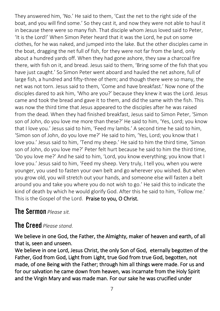They answered him, 'No.' He said to them, 'Cast the net to the right side of the boat, and you will find some.' So they cast it, and now they were not able to haul it in because there were so many fish. That disciple whom Jesus loved said to Peter, 'It is the Lord!' When Simon Peter heard that it was the Lord, he put on some clothes, for he was naked, and jumped into the lake. But the other disciples came in the boat, dragging the net full of fish, for they were not far from the land, only about a hundred yards off. When they had gone ashore, they saw a charcoal fire there, with fish on it, and bread. Jesus said to them, 'Bring some of the fish that you have just caught.' So Simon Peter went aboard and hauled the net ashore, full of large fish, a hundred and fifty-three of them; and though there were so many, the net was not torn. Jesus said to them, 'Come and have breakfast.' Now none of the disciples dared to ask him, 'Who are you?' because they knew it was the Lord. Jesus came and took the bread and gave it to them, and did the same with the fish. This was now the third time that Jesus appeared to the disciples after he was raised from the dead. When they had finished breakfast, Jesus said to Simon Peter, 'Simon son of John, do you love me more than these?' He said to him, 'Yes, Lord; you know that I love you.' Jesus said to him, 'Feed my lambs.' A second time he said to him, 'Simon son of John, do you love me?' He said to him, 'Yes, Lord; you know that I love you.' Jesus said to him, 'Tend my sheep.' He said to him the third time, 'Simon son of John, do you love me?' Peter felt hurt because he said to him the third time, 'Do you love me?' And he said to him, 'Lord, you know everything; you know that I love you.' Jesus said to him, 'Feed my sheep. Very truly, I tell you, when you were younger, you used to fasten your own belt and go wherever you wished. But when you grow old, you will stretch out your hands, and someone else will fasten a belt around you and take you where you do not wish to go.' He said this to indicate the kind of death by which he would glorify God. After this he said to him, 'Follow me.' This is the Gospel of the Lord. Praise to you, O Christ.

#### **The Sermon** Please sit.

#### **The Creed** Please stand.

We believe in one God, the Father, the Almighty, maker of heaven and earth, of all that is, seen and unseen.

We believe in one Lord, Jesus Christ, the only Son of God, eternally begotten of the Father, God from God, Light from Light, true God from true God, begotten, not made, of one Being with the Father; through him all things were made. For us and for our salvation he came down from heaven, was incarnate from the Holy Spirit and the Virgin Mary and was made man. For our sake he was crucified under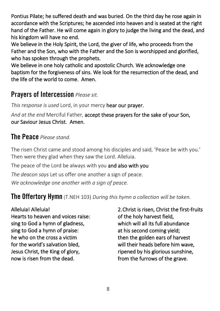Pontius Pilate; he suffered death and was buried. On the third day he rose again in accordance with the Scriptures; he ascended into heaven and is seated at the right hand of the Father. He will come again in glory to judge the living and the dead, and his kingdom will have no end.

We believe in the Holy Spirit, the Lord, the giver of life, who proceeds from the Father and the Son, who with the Father and the Son is worshipped and glorified, who has spoken through the prophets.

We believe in one holy catholic and apostolic Church. We acknowledge one baptism for the forgiveness of sins. We look for the resurrection of the dead, and the life of the world to come. Amen.

## **Prayers of Intercession** Please sit.

*This response is used* Lord, in your mercy hear our prayer.

*And at the end* Merciful Father, accept these prayers for the sake of your Son, our Saviour Jesus Christ. Amen.

#### **The Peace** Please stand.

The risen Christ came and stood among his disciples and said, 'Peace be with you.' Then were they glad when they saw the Lord. Alleluia.

The peace of the Lord be always with you and also with you *The deacon says* Let us offer one another a sign of peace. *We acknowledge one another with a sign of peace.* 

## **The Offertory Hymn** (T.NEH 103) *During this hymn a collection will be taken.*

Alleluia! Alleluia! Hearts to heaven and voices raise: sing to God a hymn of gladness, sing to God a hymn of praise: he who on the cross a victim for the world's salvation bled, Jesus Christ, the King of glory, now is risen from the dead.

2. Christ is risen, Christ the first-fruits of the holy harvest field, which will all its full abundance at his second coming yield; then the golden ears of harvest will their heads before him wave, ripened by his glorious sunshine, from the furrows of the grave.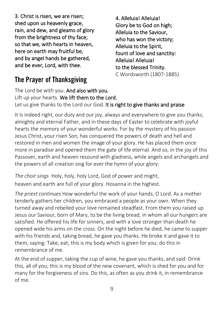3. Christ is risen, we are risen; shed upon us heavenly grace, rain, and dew, and gleams of glory from the brightness of thy face; so that we, with hearts in heaven, here on earth may fruitful be, and by angel hands be gathered, and be ever, Lord, with thee.

# The Prayer of Thanksgiving

4. Alleluia! Alleluia! Glory be to God on high; Alleluia to the Saviour, who has won the victory; Alleluia to the Spirit, fount of love and sanctity: Alleluia! Alleluia! to the blessed Trinity. C Wordsworth (1807-1885)

The Lord be with you. And also with you. Lift up your hearts. We lift them to the Lord. Let us give thanks to the Lord our God. It is right to give thanks and praise

It Is indeed right, our duty and our joy, always and everywhere to give you thanks, almighty and eternal Father, and in these days of Easter to celebrate with joyful hearts the memory of your wonderful works. For by the mystery of his passion Jesus Christ, your risen Son, has conquered the powers of death and hell and restored in men and women the image of your glory. He has placed them once more in paradise and opened them the gate of life eternal. And so, in the joy of this Passover, earth and heaven resound with gladness, while angels and archangels and the powers of all creation sing for ever the hymn of your glory:

*The choir sings* Holy, holy, holy Lord, God of power and might, heaven and earth are full of your glory. Hosanna in the highest.

*The priest continues* How wonderful the work of your hands, O Lord. As a mother tenderly gathers her children, you embraced a people as your own. When they turned away and rebelled your love remained steadfast. From them you raised up Jesus our Saviour, born of Mary, to be the living bread, in whom all our hungers are satisfied. He offered his life for sinners, and with a love stronger than death he opened wide his arms on the cross. On the night before he died, he came to supper with his friends and, taking bread, he gave you thanks. He broke it and gave it to them, saying: Take, eat; this is my body which is given for you; do this in remembrance of me.

At the end of supper, taking the cup of wine, he gave you thanks, and said: Drink this, all of you; this is my blood of the new covenant, which is shed for you and for many for the forgiveness of sins. Do this, as often as you drink it, in remembrance of me.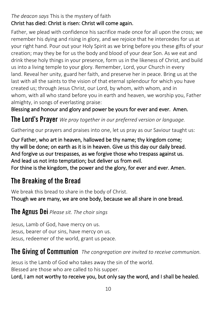#### *The deacon says* This is the mystery of faith Christ has died: Christ is risen: Christ will come again.

Father, we plead with confidence his sacrifice made once for all upon the cross; we remember his dying and rising in glory, and we rejoice that he intercedes for us at your right hand. Pour out your Holy Spirit as we bring before you these gifts of your creation; may they be for us the body and blood of your dear Son. As we eat and drink these holy things in your presence, form us in the likeness of Christ, and build us into a living temple to your glory. Remember, Lord, your Church in every land. Reveal her unity, guard her faith, and preserve her in peace. Bring us at the last with all the saints to the vision of that eternal splendour for which you have created us; through Jesus Christ, our Lord, by whom, with whom, and in whom, with all who stand before you in earth and heaven, we worship you, Father almighty, in songs of everlasting praise:

Blessing and honour and glory and power be yours for ever and ever. Amen.

**The Lord's Prayer** We pray together in our preferred version or language.

Gathering our prayers and praises into one, let us pray as our Saviour taught us:

Our Father, who art in heaven, hallowed be thy name; thy kingdom come; thy will be done; on earth as it is in heaven. Give us this day our daily bread. And forgive us our trespasses, as we forgive those who trespass against us. And lead us not into temptation; but deliver us from evil. For thine is the kingdom, the power and the glory, for ever and ever. Amen.

# The Breaking of the Bread

We break this bread to share in the body of Christ. Though we are many, we are one body, because we all share in one bread.

#### **The Agnus Dei** Please sit. The choir sings

Jesus, Lamb of God, have mercy on us. Jesus, bearer of our sins, have mercy on us. Jesus, redeemer of the world, grant us peace.

#### **The Giving of Communion** The congregation are invited to receive communion.

Jesus is the Lamb of God who takes away the sin of the world. Blessed are those who are called to his supper.

#### Lord, I am not worthy to receive you, but only say the word, and I shall be healed.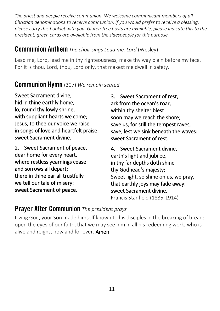*The priest and people receive communion. We welcome communicant members of all Christian denominations to receive communion. If you would prefer to receive a blessing, please carry this booklet with you. Gluten-free hosts are available, please indicate this to the president, green cards are available from the sidespeople for this purpose.* 

#### **Communion Anthem** *The choir sings Lead me, Lord* (Wesley)

Lead me, Lord, lead me in thy righteousness, make thy way plain before my face. For it is thou, Lord, thou, Lord only, that makest me dwell in safety.

#### **Communion Hymn** (307) We remain seated

Sweet Sacrament divine, hid in thine earthly home, lo, round thy lowly shrine, with suppliant hearts we come; Jesus, to thee our voice we raise in songs of love and heartfelt praise: sweet Sacrament divine. Ī

2. Sweet Sacrament of peace, dear home for every heart, where restless yearnings cease and sorrows all depart; there in thine ear all trustfully we tell our tale of misery: sweet Sacrament of peace.

3. Sweet Sacrament of rest, ark from the ocean's roar, within thy shelter blest soon may we reach the shore; save us, for still the tempest raves, save, lest we sink beneath the waves: sweet Sacrament of rest.

4. Sweet Sacrament divine, earth's light and jubilee, in thy far depths doth shine thy Godhead's majesty; Sweet light, so shine on us, we pray, that earthly joys may fade away: sweet Sacrament divine. Francis Stanfield (1835-1914)

#### **Prayer After Communion** The president prays

Living God, your Son made himself known to his disciples in the breaking of bread: open the eyes of our faith, that we may see him in all his redeeming work; who is alive and reigns, now and for ever. Amen